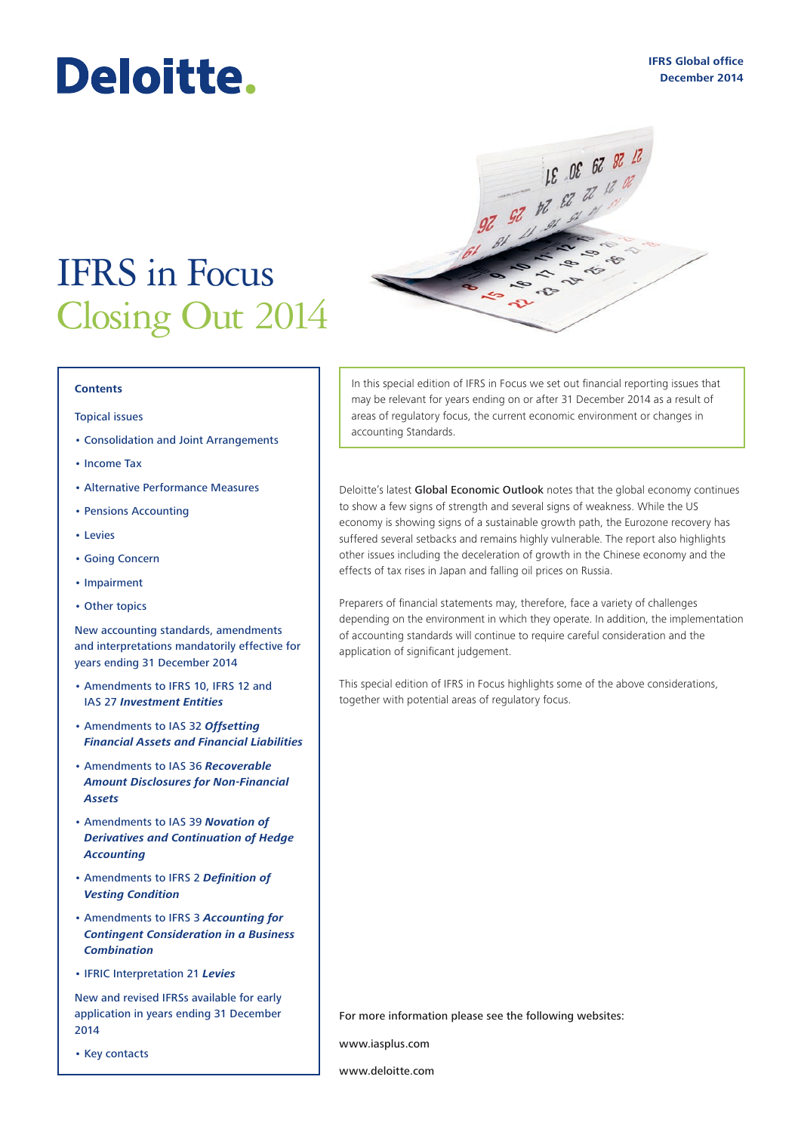# Deloitte.

## IFRS in Focus Closing Out 2014

#### **Contents**

#### [Topical issues](#page-1-0)

- [Consolidation and Joint Arrangements](#page-1-0)
- [Income Tax](#page-3-0)
- [Alternative Performance Measures](#page-4-0)
- [Pensions Accounting](#page-5-0)
- [Levies](#page-6-0)
- [Going Concern](#page-6-0)
- [Impairment](#page-7-0)
- [Other topics](#page-8-0)

[New accounting standards, amendments](#page-8-0)  [and interpretations mandatorily effective for](#page-8-0)  [years ending 31 December 2014](#page-8-0)

- [Amendments to IFRS 10, IFRS 12 and](#page-9-0)  IAS 27 *[Investment Entities](#page-9-0)*
- [Amendments to IAS 32](#page-9-0) *Offsetting [Financial Assets and Financial Liabilities](#page-9-0)*
- [Amendments to IAS 36](#page-9-0) *Recoverable [Amount Disclosures for Non-Financial](#page-9-0)  [Assets](#page-9-0)*
- [Amendments to IAS 39](#page-9-0) *Novation of [Derivatives and Continuation of Hedge](#page-9-0)  [Accounting](#page-9-0)*
- [Amendments to IFRS 2](#page-9-0) *Definition of [Vesting Condition](#page-9-0)*
- [Amendments to IFRS 3](#page-10-0) *Accounting for [Contingent Consideration in a Business](#page-10-0)  [Combination](#page-10-0)*
- [IFRIC Interpretation 21](#page-10-0) *Levies*

[New and revised IFRSs available for early](#page-10-0)  [application in years ending 31 December](#page-10-0)  [2014](#page-10-0)

• [Key contacts](#page-11-0)

In this special edition of IFRS in Focus we set out financial reporting issues that may be relevant for years ending on or after 31 December 2014 as a result of areas of regulatory focus, the current economic environment or changes in accounting Standards.

 $\Omega$ 

18 08 67 87 17

 $rac{1}{2}$  $\leftrightarrow$ 

20 50 30 31

Deloitte's latest [Global Economic Outlook](http://dupress.com/articles/global-economic-outlook-q4-2014-introduction/) notes that the global economy continues to show a few signs of strength and several signs of weakness. While the US economy is showing signs of a sustainable growth path, the Eurozone recovery has suffered several setbacks and remains highly vulnerable. The report also highlights other issues including the deceleration of growth in the Chinese economy and the effects of tax rises in Japan and falling oil prices on Russia.

Preparers of financial statements may, therefore, face a variety of challenges depending on the environment in which they operate. In addition, the implementation of accounting standards will continue to require careful consideration and the application of significant judgement.

This special edition of IFRS in Focus highlights some of the above considerations, together with potential areas of regulatory focus.

For more information please see the following websites:

www.iasplus.com

www.deloitte.com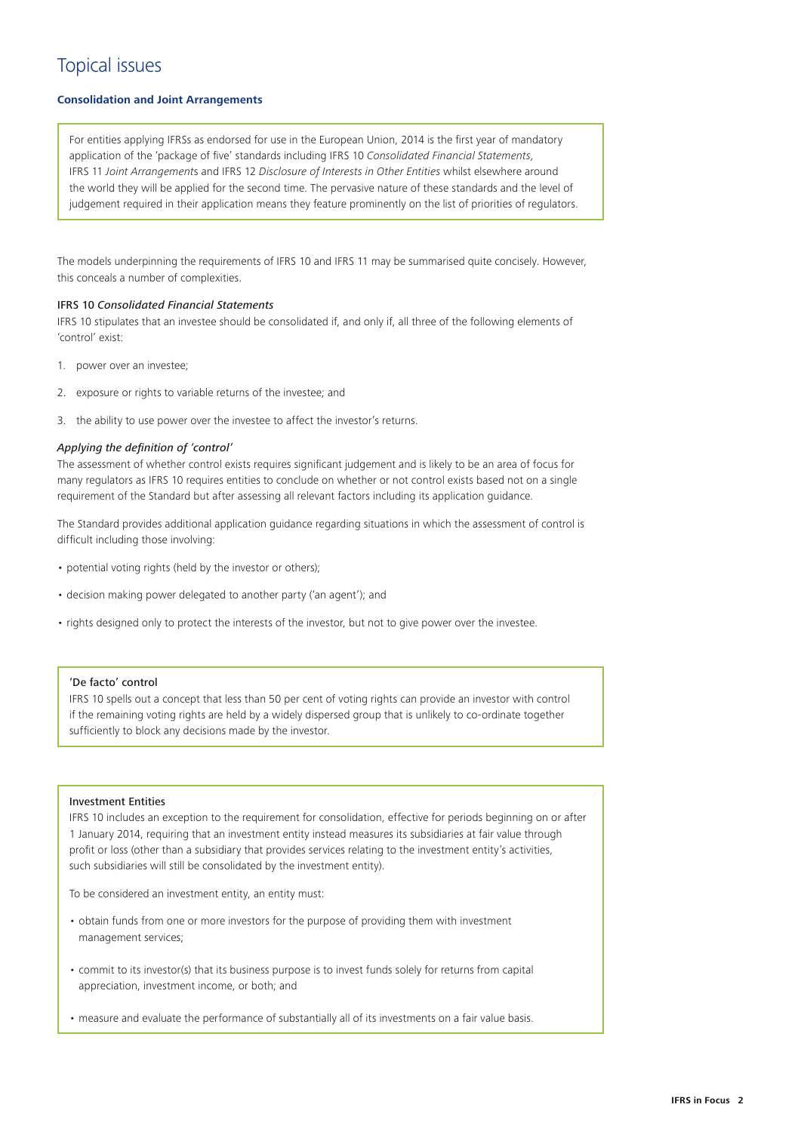## <span id="page-1-0"></span>Topical issues

#### **Consolidation and Joint Arrangements**

For entities applying IFRSs as endorsed for use in the European Union, 2014 is the first year of mandatory application of the 'package of five' standards including IFRS 10 *Consolidated Financial Statements*, IFRS 11 *Joint Arrangement*s and IFRS 12 *Disclosure of Interests in Other Entities* whilst elsewhere around the world they will be applied for the second time. The pervasive nature of these standards and the level of judgement required in their application means they feature prominently on the list of priorities of regulators.

The models underpinning the requirements of IFRS 10 and IFRS 11 may be summarised quite concisely. However, this conceals a number of complexities.

#### IFRS 10 *Consolidated Financial Statements*

IFRS 10 stipulates that an investee should be consolidated if, and only if, all three of the following elements of 'control' exist:

- 1. power over an investee;
- 2. exposure or rights to variable returns of the investee; and
- 3. the ability to use power over the investee to affect the investor's returns.

#### *Applying the definition of 'control'*

The assessment of whether control exists requires significant judgement and is likely to be an area of focus for many regulators as IFRS 10 requires entities to conclude on whether or not control exists based not on a single requirement of the Standard but after assessing all relevant factors including its application guidance.

The Standard provides additional application guidance regarding situations in which the assessment of control is difficult including those involving:

- potential voting rights (held by the investor or others);
- decision making power delegated to another party ('an agent'); and
- rights designed only to protect the interests of the investor, but not to give power over the investee.

#### 'De facto' control

IFRS 10 spells out a concept that less than 50 per cent of voting rights can provide an investor with control if the remaining voting rights are held by a widely dispersed group that is unlikely to co-ordinate together sufficiently to block any decisions made by the investor.

#### Investment Entities

IFRS 10 includes an exception to the requirement for consolidation, effective for periods beginning on or after 1 January 2014, requiring that an investment entity instead measures its subsidiaries at fair value through profit or loss (other than a subsidiary that provides services relating to the investment entity's activities, such subsidiaries will still be consolidated by the investment entity).

To be considered an investment entity, an entity must:

- obtain funds from one or more investors for the purpose of providing them with investment management services;
- commit to its investor(s) that its business purpose is to invest funds solely for returns from capital appreciation, investment income, or both; and
- measure and evaluate the performance of substantially all of its investments on a fair value basis.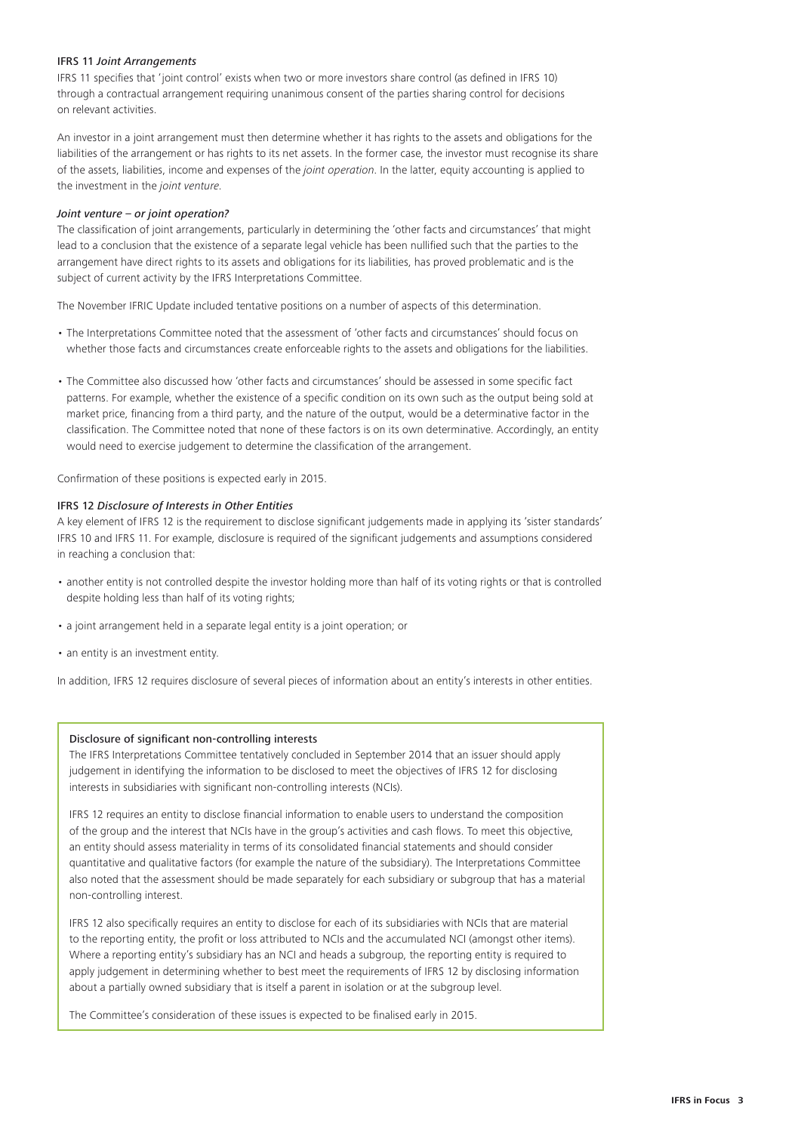#### IFRS 11 *Joint Arrangements*

IFRS 11 specifies that 'joint control' exists when two or more investors share control (as defined in IFRS 10) through a contractual arrangement requiring unanimous consent of the parties sharing control for decisions on relevant activities.

An investor in a joint arrangement must then determine whether it has rights to the assets and obligations for the liabilities of the arrangement or has rights to its net assets. In the former case, the investor must recognise its share of the assets, liabilities, income and expenses of the *joint operation*. In the latter, equity accounting is applied to the investment in the *joint venture*.

#### *Joint venture – or joint operation?*

The classification of joint arrangements, particularly in determining the 'other facts and circumstances' that might lead to a conclusion that the existence of a separate legal vehicle has been nullified such that the parties to the arrangement have direct rights to its assets and obligations for its liabilities, has proved problematic and is the subject of current activity by the IFRS Interpretations Committee.

The November IFRIC Update included tentative positions on a number of aspects of this determination.

- The Interpretations Committee noted that the assessment of 'other facts and circumstances' should focus on whether those facts and circumstances create enforceable rights to the assets and obligations for the liabilities.
- The Committee also discussed how 'other facts and circumstances' should be assessed in some specific fact patterns. For example, whether the existence of a specific condition on its own such as the output being sold at market price, financing from a third party, and the nature of the output, would be a determinative factor in the classification. The Committee noted that none of these factors is on its own determinative. Accordingly, an entity would need to exercise judgement to determine the classification of the arrangement.

Confirmation of these positions is expected early in 2015.

#### IFRS 12 *Disclosure of Interests in Other Entities*

A key element of IFRS 12 is the requirement to disclose significant judgements made in applying its 'sister standards' IFRS 10 and IFRS 11. For example, disclosure is required of the significant judgements and assumptions considered in reaching a conclusion that:

- another entity is not controlled despite the investor holding more than half of its voting rights or that is controlled despite holding less than half of its voting rights;
- a joint arrangement held in a separate legal entity is a joint operation; or
- an entity is an investment entity.

In addition, IFRS 12 requires disclosure of several pieces of information about an entity's interests in other entities.

#### Disclosure of significant non-controlling interests

The IFRS Interpretations Committee tentatively concluded in September 2014 that an issuer should apply judgement in identifying the information to be disclosed to meet the objectives of IFRS 12 for disclosing interests in subsidiaries with significant non-controlling interests (NCIs).

IFRS 12 requires an entity to disclose financial information to enable users to understand the composition of the group and the interest that NCIs have in the group's activities and cash flows. To meet this objective, an entity should assess materiality in terms of its consolidated financial statements and should consider quantitative and qualitative factors (for example the nature of the subsidiary). The Interpretations Committee also noted that the assessment should be made separately for each subsidiary or subgroup that has a material non-controlling interest.

IFRS 12 also specifically requires an entity to disclose for each of its subsidiaries with NCIs that are material to the reporting entity, the profit or loss attributed to NCIs and the accumulated NCI (amongst other items). Where a reporting entity's subsidiary has an NCI and heads a subgroup, the reporting entity is required to apply judgement in determining whether to best meet the requirements of IFRS 12 by disclosing information about a partially owned subsidiary that is itself a parent in isolation or at the subgroup level.

The Committee's consideration of these issues is expected to be finalised early in 2015.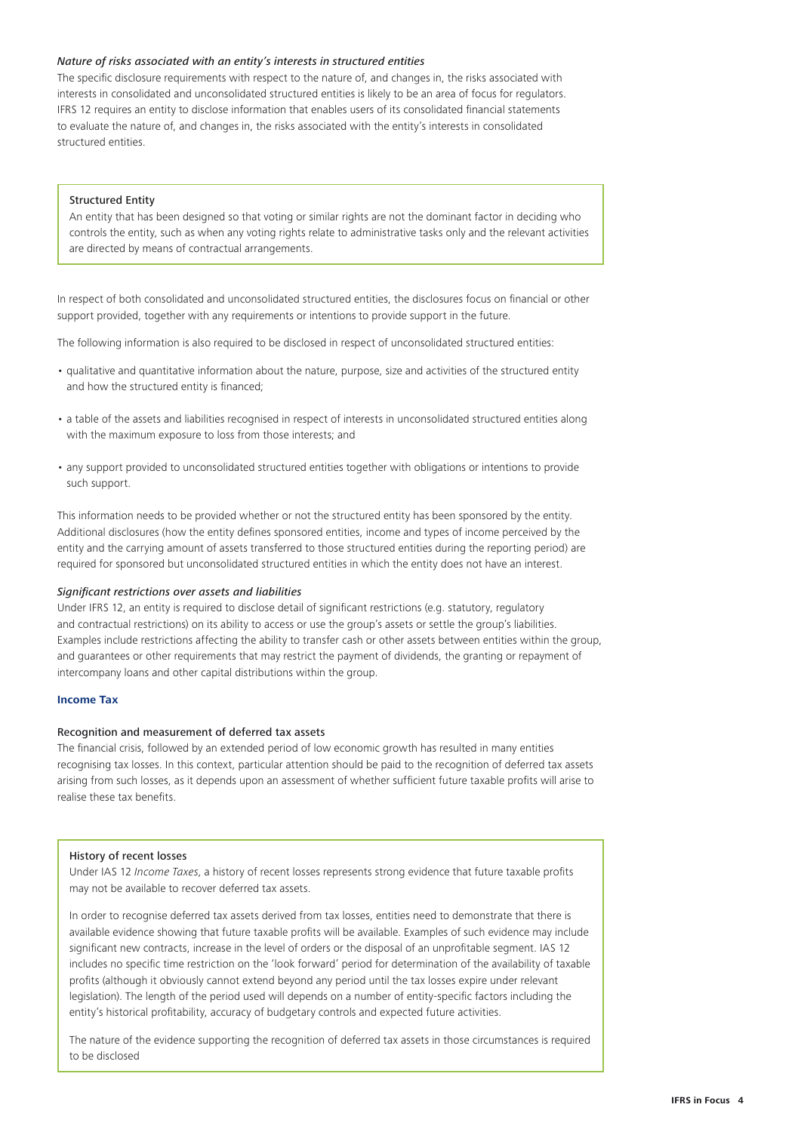#### <span id="page-3-0"></span>*Nature of risks associated with an entity's interests in structured entities*

The specific disclosure requirements with respect to the nature of, and changes in, the risks associated with interests in consolidated and unconsolidated structured entities is likely to be an area of focus for regulators. IFRS 12 requires an entity to disclose information that enables users of its consolidated financial statements to evaluate the nature of, and changes in, the risks associated with the entity's interests in consolidated structured entities.

#### Structured Entity

An entity that has been designed so that voting or similar rights are not the dominant factor in deciding who controls the entity, such as when any voting rights relate to administrative tasks only and the relevant activities are directed by means of contractual arrangements.

In respect of both consolidated and unconsolidated structured entities, the disclosures focus on financial or other support provided, together with any requirements or intentions to provide support in the future.

The following information is also required to be disclosed in respect of unconsolidated structured entities:

- qualitative and quantitative information about the nature, purpose, size and activities of the structured entity and how the structured entity is financed;
- a table of the assets and liabilities recognised in respect of interests in unconsolidated structured entities along with the maximum exposure to loss from those interests; and
- any support provided to unconsolidated structured entities together with obligations or intentions to provide such support.

This information needs to be provided whether or not the structured entity has been sponsored by the entity. Additional disclosures (how the entity defines sponsored entities, income and types of income perceived by the entity and the carrying amount of assets transferred to those structured entities during the reporting period) are required for sponsored but unconsolidated structured entities in which the entity does not have an interest.

#### *Significant restrictions over assets and liabilities*

Under IFRS 12, an entity is required to disclose detail of significant restrictions (e.g. statutory, regulatory and contractual restrictions) on its ability to access or use the group's assets or settle the group's liabilities. Examples include restrictions affecting the ability to transfer cash or other assets between entities within the group, and guarantees or other requirements that may restrict the payment of dividends, the granting or repayment of intercompany loans and other capital distributions within the group.

#### **Income Tax**

#### Recognition and measurement of deferred tax assets

The financial crisis, followed by an extended period of low economic growth has resulted in many entities recognising tax losses. In this context, particular attention should be paid to the recognition of deferred tax assets arising from such losses, as it depends upon an assessment of whether sufficient future taxable profits will arise to realise these tax benefits.

#### History of recent losses

Under IAS 12 *Income Taxes*, a history of recent losses represents strong evidence that future taxable profits may not be available to recover deferred tax assets.

In order to recognise deferred tax assets derived from tax losses, entities need to demonstrate that there is available evidence showing that future taxable profits will be available. Examples of such evidence may include significant new contracts, increase in the level of orders or the disposal of an unprofitable segment. IAS 12 includes no specific time restriction on the 'look forward' period for determination of the availability of taxable profits (although it obviously cannot extend beyond any period until the tax losses expire under relevant legislation). The length of the period used will depends on a number of entity-specific factors including the entity's historical profitability, accuracy of budgetary controls and expected future activities.

The nature of the evidence supporting the recognition of deferred tax assets in those circumstances is required to be disclosed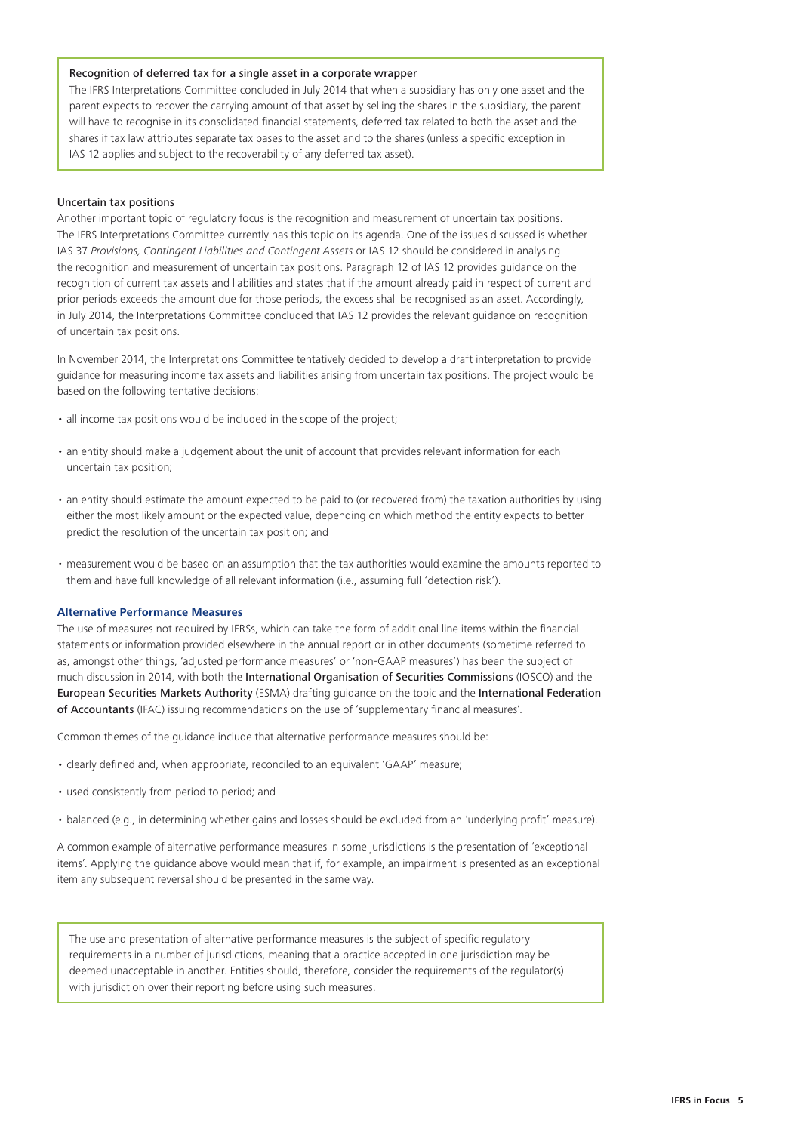#### <span id="page-4-0"></span>Recognition of deferred tax for a single asset in a corporate wrapper

The IFRS Interpretations Committee concluded in July 2014 that when a subsidiary has only one asset and the parent expects to recover the carrying amount of that asset by selling the shares in the subsidiary, the parent will have to recognise in its consolidated financial statements, deferred tax related to both the asset and the shares if tax law attributes separate tax bases to the asset and to the shares (unless a specific exception in IAS 12 applies and subject to the recoverability of any deferred tax asset).

#### Uncertain tax positions

Another important topic of regulatory focus is the recognition and measurement of uncertain tax positions. The IFRS Interpretations Committee currently has this topic on its agenda. One of the issues discussed is whether IAS 37 *Provisions, Contingent Liabilities and Contingent Assets* or IAS 12 should be considered in analysing the recognition and measurement of uncertain tax positions. Paragraph 12 of IAS 12 provides guidance on the recognition of current tax assets and liabilities and states that if the amount already paid in respect of current and prior periods exceeds the amount due for those periods, the excess shall be recognised as an asset. Accordingly, in July 2014, the Interpretations Committee concluded that IAS 12 provides the relevant guidance on recognition of uncertain tax positions.

In November 2014, the Interpretations Committee tentatively decided to develop a draft interpretation to provide guidance for measuring income tax assets and liabilities arising from uncertain tax positions. The project would be based on the following tentative decisions:

- all income tax positions would be included in the scope of the project;
- an entity should make a judgement about the unit of account that provides relevant information for each uncertain tax position;
- an entity should estimate the amount expected to be paid to (or recovered from) the taxation authorities by using either the most likely amount or the expected value, depending on which method the entity expects to better predict the resolution of the uncertain tax position; and
- measurement would be based on an assumption that the tax authorities would examine the amounts reported to them and have full knowledge of all relevant information (i.e., assuming full 'detection risk').

#### **Alternative Performance Measures**

The use of measures not required by IFRSs, which can take the form of additional line items within the financial statements or information provided elsewhere in the annual report or in other documents (sometime referred to as, amongst other things, 'adjusted performance measures' or 'non-GAAP measures') has been the subject of much discussion in 2014, with both the [International Organisation of Securities Commissions](http://www.iosco.org/news/pdf/IOSCONEWS343.pdf) (IOSCO) and the [European Securities Markets Authority](http://www.esma.europa.eu/news/Press-release-ESMA-consults-Guidelines-issuers-performance-measures) (ESMA) drafting guidance on the topic and the [International Federation](https://www.ifac.org/publications-resources/developing-and-reporting-supplementary-financial-measures-definition-principl)  [of Accountants](https://www.ifac.org/publications-resources/developing-and-reporting-supplementary-financial-measures-definition-principl) (IFAC) issuing recommendations on the use of 'supplementary financial measures'.

Common themes of the guidance include that alternative performance measures should be:

- clearly defined and, when appropriate, reconciled to an equivalent 'GAAP' measure;
- used consistently from period to period; and
- balanced (e.g., in determining whether gains and losses should be excluded from an 'underlying profit' measure).

A common example of alternative performance measures in some jurisdictions is the presentation of 'exceptional items'. Applying the guidance above would mean that if, for example, an impairment is presented as an exceptional item any subsequent reversal should be presented in the same way.

The use and presentation of alternative performance measures is the subject of specific regulatory requirements in a number of jurisdictions, meaning that a practice accepted in one jurisdiction may be deemed unacceptable in another. Entities should, therefore, consider the requirements of the regulator(s) with jurisdiction over their reporting before using such measures.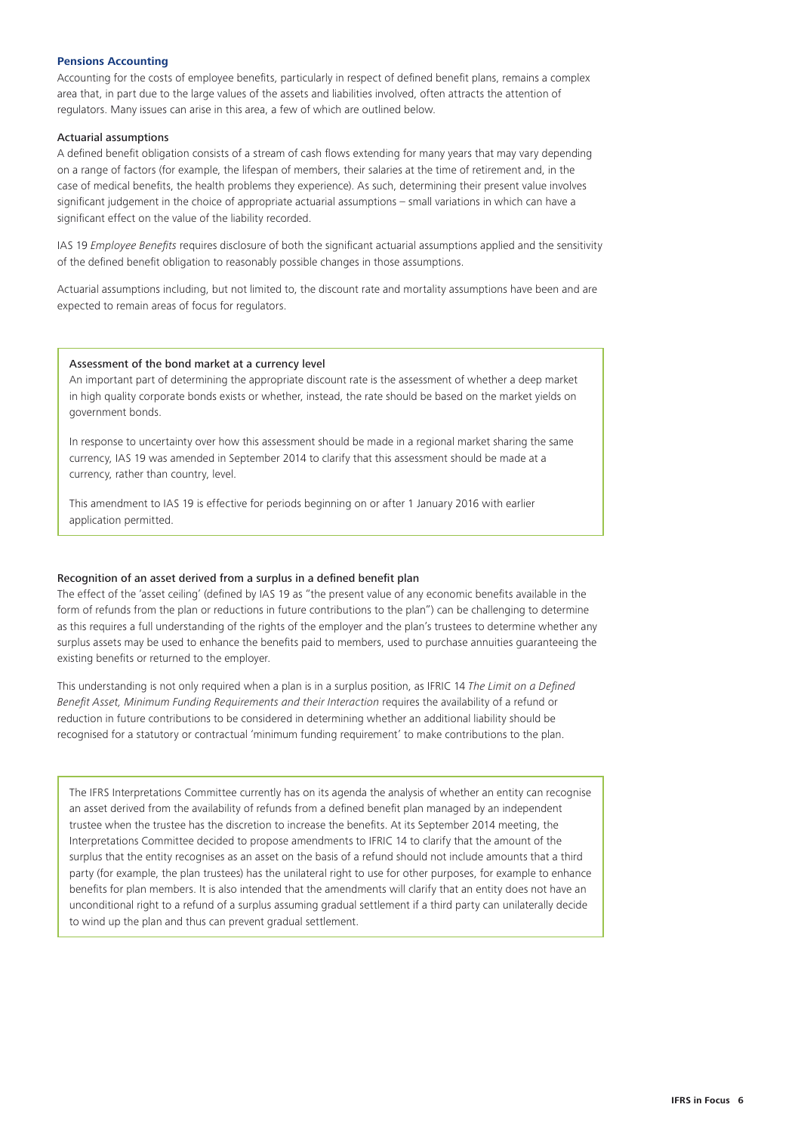#### <span id="page-5-0"></span>**Pensions Accounting**

Accounting for the costs of employee benefits, particularly in respect of defined benefit plans, remains a complex area that, in part due to the large values of the assets and liabilities involved, often attracts the attention of regulators. Many issues can arise in this area, a few of which are outlined below.

#### Actuarial assumptions

A defined benefit obligation consists of a stream of cash flows extending for many years that may vary depending on a range of factors (for example, the lifespan of members, their salaries at the time of retirement and, in the case of medical benefits, the health problems they experience). As such, determining their present value involves significant judgement in the choice of appropriate actuarial assumptions – small variations in which can have a significant effect on the value of the liability recorded.

IAS 19 *Employee Benefits* requires disclosure of both the significant actuarial assumptions applied and the sensitivity of the defined benefit obligation to reasonably possible changes in those assumptions.

Actuarial assumptions including, but not limited to, the discount rate and mortality assumptions have been and are expected to remain areas of focus for regulators.

#### Assessment of the bond market at a currency level

An important part of determining the appropriate discount rate is the assessment of whether a deep market in high quality corporate bonds exists or whether, instead, the rate should be based on the market yields on government bonds.

In response to uncertainty over how this assessment should be made in a regional market sharing the same currency, IAS 19 was amended in September 2014 to clarify that this assessment should be made at a currency, rather than country, level.

This amendment to IAS 19 is effective for periods beginning on or after 1 January 2016 with earlier application permitted.

#### Recognition of an asset derived from a surplus in a defined benefit plan

The effect of the 'asset ceiling' (defined by IAS 19 as "the present value of any economic benefits available in the form of refunds from the plan or reductions in future contributions to the plan") can be challenging to determine as this requires a full understanding of the rights of the employer and the plan's trustees to determine whether any surplus assets may be used to enhance the benefits paid to members, used to purchase annuities guaranteeing the existing benefits or returned to the employer.

This understanding is not only required when a plan is in a surplus position, as IFRIC 14 *The Limit on a Defined Benefit Asset, Minimum Funding Requirements and their Interaction* requires the availability of a refund or reduction in future contributions to be considered in determining whether an additional liability should be recognised for a statutory or contractual 'minimum funding requirement' to make contributions to the plan.

The IFRS Interpretations Committee currently has on its agenda the analysis of whether an entity can recognise an asset derived from the availability of refunds from a defined benefit plan managed by an independent trustee when the trustee has the discretion to increase the benefits. At its September 2014 meeting, the Interpretations Committee decided to propose amendments to IFRIC 14 to clarify that the amount of the surplus that the entity recognises as an asset on the basis of a refund should not include amounts that a third party (for example, the plan trustees) has the unilateral right to use for other purposes, for example to enhance benefits for plan members. It is also intended that the amendments will clarify that an entity does not have an unconditional right to a refund of a surplus assuming gradual settlement if a third party can unilaterally decide to wind up the plan and thus can prevent gradual settlement.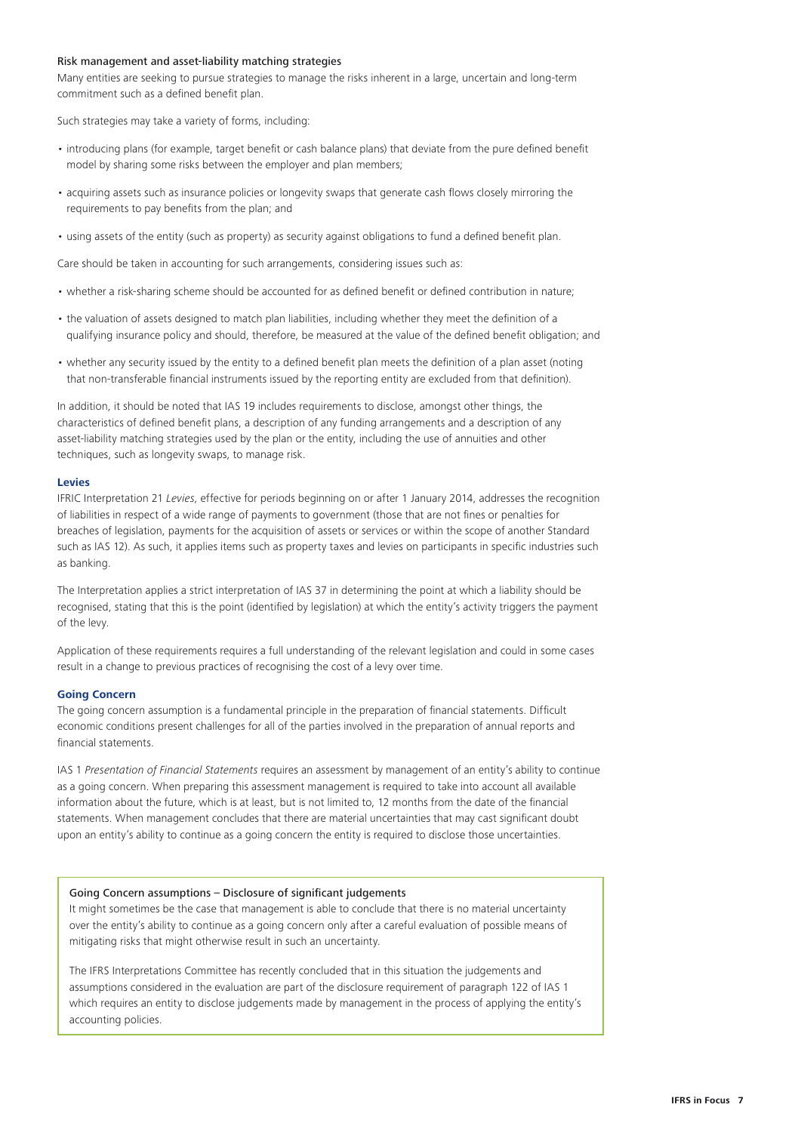#### <span id="page-6-0"></span>Risk management and asset-liability matching strategies

Many entities are seeking to pursue strategies to manage the risks inherent in a large, uncertain and long-term commitment such as a defined benefit plan.

Such strategies may take a variety of forms, including:

- introducing plans (for example, target benefit or cash balance plans) that deviate from the pure defined benefit model by sharing some risks between the employer and plan members;
- acquiring assets such as insurance policies or longevity swaps that generate cash flows closely mirroring the requirements to pay benefits from the plan; and
- using assets of the entity (such as property) as security against obligations to fund a defined benefit plan.

Care should be taken in accounting for such arrangements, considering issues such as:

- whether a risk-sharing scheme should be accounted for as defined benefit or defined contribution in nature;
- the valuation of assets designed to match plan liabilities, including whether they meet the definition of a qualifying insurance policy and should, therefore, be measured at the value of the defined benefit obligation; and
- whether any security issued by the entity to a defined benefit plan meets the definition of a plan asset (noting that non-transferable financial instruments issued by the reporting entity are excluded from that definition).

In addition, it should be noted that IAS 19 includes requirements to disclose, amongst other things, the characteristics of defined benefit plans, a description of any funding arrangements and a description of any asset-liability matching strategies used by the plan or the entity, including the use of annuities and other techniques, such as longevity swaps, to manage risk.

#### **Levies**

IFRIC Interpretation 21 *Levies*, effective for periods beginning on or after 1 January 2014, addresses the recognition of liabilities in respect of a wide range of payments to government (those that are not fines or penalties for breaches of legislation, payments for the acquisition of assets or services or within the scope of another Standard such as IAS 12). As such, it applies items such as property taxes and levies on participants in specific industries such as banking.

The Interpretation applies a strict interpretation of IAS 37 in determining the point at which a liability should be recognised, stating that this is the point (identified by legislation) at which the entity's activity triggers the payment of the levy.

Application of these requirements requires a full understanding of the relevant legislation and could in some cases result in a change to previous practices of recognising the cost of a levy over time.

#### **Going Concern**

The going concern assumption is a fundamental principle in the preparation of financial statements. Difficult economic conditions present challenges for all of the parties involved in the preparation of annual reports and financial statements.

IAS 1 *Presentation of Financial Statements* requires an assessment by management of an entity's ability to continue as a going concern. When preparing this assessment management is required to take into account all available information about the future, which is at least, but is not limited to, 12 months from the date of the financial statements. When management concludes that there are material uncertainties that may cast significant doubt upon an entity's ability to continue as a going concern the entity is required to disclose those uncertainties.

#### Going Concern assumptions – Disclosure of significant judgements

It might sometimes be the case that management is able to conclude that there is no material uncertainty over the entity's ability to continue as a going concern only after a careful evaluation of possible means of mitigating risks that might otherwise result in such an uncertainty.

The IFRS Interpretations Committee has recently concluded that in this situation the judgements and assumptions considered in the evaluation are part of the disclosure requirement of paragraph 122 of IAS 1 which requires an entity to disclose judgements made by management in the process of applying the entity's accounting policies.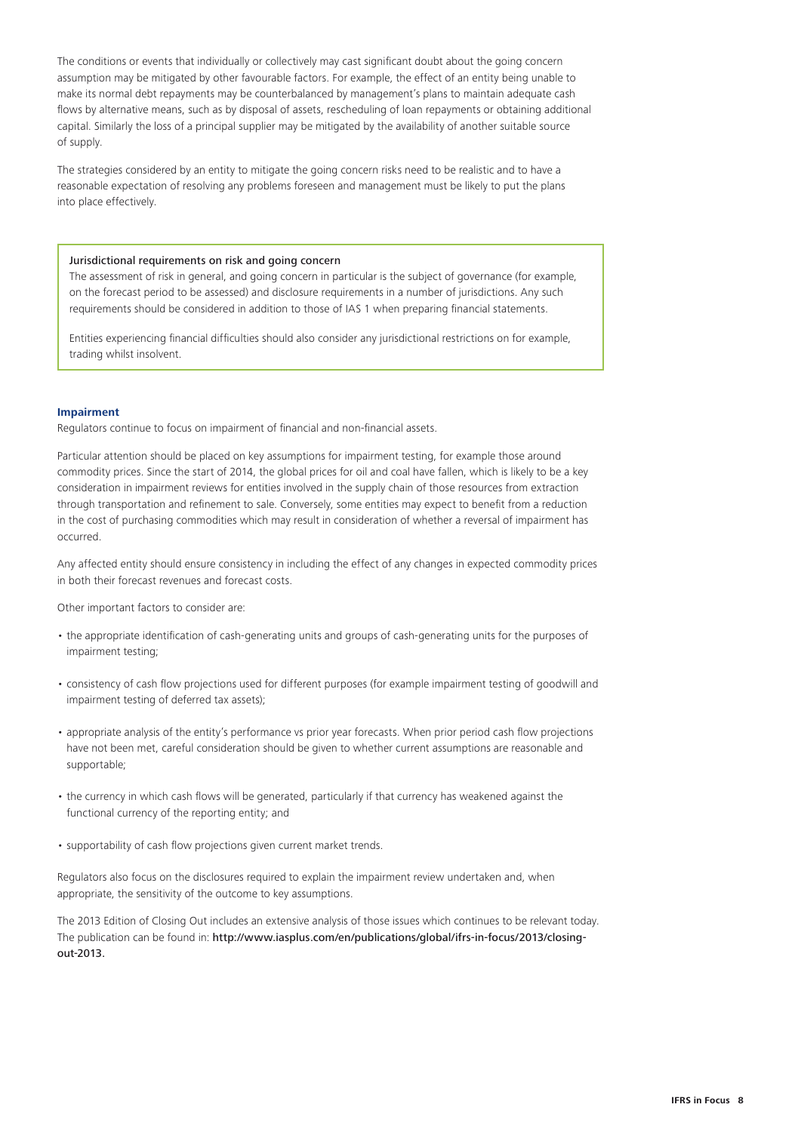<span id="page-7-0"></span>The conditions or events that individually or collectively may cast significant doubt about the going concern assumption may be mitigated by other favourable factors. For example, the effect of an entity being unable to make its normal debt repayments may be counterbalanced by management's plans to maintain adequate cash flows by alternative means, such as by disposal of assets, rescheduling of loan repayments or obtaining additional capital. Similarly the loss of a principal supplier may be mitigated by the availability of another suitable source of supply.

The strategies considered by an entity to mitigate the going concern risks need to be realistic and to have a reasonable expectation of resolving any problems foreseen and management must be likely to put the plans into place effectively.

#### Jurisdictional requirements on risk and going concern

The assessment of risk in general, and going concern in particular is the subject of governance (for example, on the forecast period to be assessed) and disclosure requirements in a number of jurisdictions. Any such requirements should be considered in addition to those of IAS 1 when preparing financial statements.

Entities experiencing financial difficulties should also consider any jurisdictional restrictions on for example, trading whilst insolvent.

#### **Impairment**

Regulators continue to focus on impairment of financial and non-financial assets.

Particular attention should be placed on key assumptions for impairment testing, for example those around commodity prices. Since the start of 2014, the global prices for oil and coal have fallen, which is likely to be a key consideration in impairment reviews for entities involved in the supply chain of those resources from extraction through transportation and refinement to sale. Conversely, some entities may expect to benefit from a reduction in the cost of purchasing commodities which may result in consideration of whether a reversal of impairment has occurred.

Any affected entity should ensure consistency in including the effect of any changes in expected commodity prices in both their forecast revenues and forecast costs.

Other important factors to consider are:

- the appropriate identification of cash-generating units and groups of cash-generating units for the purposes of impairment testing;
- consistency of cash flow projections used for different purposes (for example impairment testing of goodwill and impairment testing of deferred tax assets);
- appropriate analysis of the entity's performance vs prior year forecasts. When prior period cash flow projections have not been met, careful consideration should be given to whether current assumptions are reasonable and supportable;
- the currency in which cash flows will be generated, particularly if that currency has weakened against the functional currency of the reporting entity; and
- supportability of cash flow projections given current market trends.

Regulators also focus on the disclosures required to explain the impairment review undertaken and, when appropriate, the sensitivity of the outcome to key assumptions.

The 2013 Edition of Closing Out includes an extensive analysis of those issues which continues to be relevant today. The publication can be found in: [http://www.iasplus.com/en/publications/global/ifrs-in-focus/2013/closing](http://www.iasplus.com/en/publications/global/ifrs-in-focus/2013/closing-out-2013)[out-2013.](http://www.iasplus.com/en/publications/global/ifrs-in-focus/2013/closing-out-2013)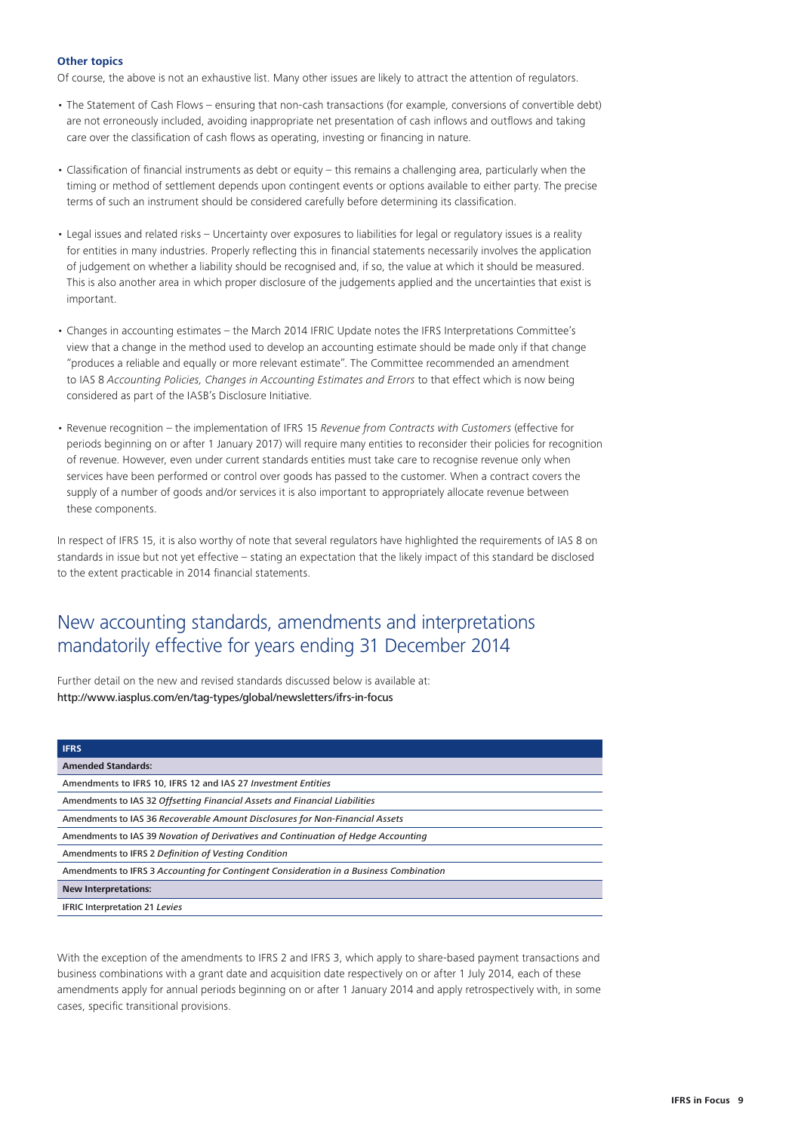#### <span id="page-8-0"></span>**Other topics**

Of course, the above is not an exhaustive list. Many other issues are likely to attract the attention of regulators.

- The Statement of Cash Flows ensuring that non-cash transactions (for example, conversions of convertible debt) are not erroneously included, avoiding inappropriate net presentation of cash inflows and outflows and taking care over the classification of cash flows as operating, investing or financing in nature.
- Classification of financial instruments as debt or equity this remains a challenging area, particularly when the timing or method of settlement depends upon contingent events or options available to either party. The precise terms of such an instrument should be considered carefully before determining its classification.
- Legal issues and related risks Uncertainty over exposures to liabilities for legal or regulatory issues is a reality for entities in many industries. Properly reflecting this in financial statements necessarily involves the application of judgement on whether a liability should be recognised and, if so, the value at which it should be measured. This is also another area in which proper disclosure of the judgements applied and the uncertainties that exist is important.
- Changes in accounting estimates the March 2014 IFRIC Update notes the IFRS Interpretations Committee's view that a change in the method used to develop an accounting estimate should be made only if that change "produces a reliable and equally or more relevant estimate". The Committee recommended an amendment to IAS 8 *Accounting Policies, Changes in Accounting Estimates and Errors* to that effect which is now being considered as part of the IASB's Disclosure Initiative.
- Revenue recognition the implementation of IFRS 15 *Revenue from Contracts with Customers* (effective for periods beginning on or after 1 January 2017) will require many entities to reconsider their policies for recognition of revenue. However, even under current standards entities must take care to recognise revenue only when services have been performed or control over goods has passed to the customer. When a contract covers the supply of a number of goods and/or services it is also important to appropriately allocate revenue between these components.

In respect of IFRS 15, it is also worthy of note that several regulators have highlighted the requirements of IAS 8 on standards in issue but not yet effective – stating an expectation that the likely impact of this standard be disclosed to the extent practicable in 2014 financial statements.

### New accounting standards, amendments and interpretations mandatorily effective for years ending 31 December 2014

Further detail on the new and revised standards discussed below is available at: <http://www.iasplus.com/en/tag-types/global/newsletters/ifrs-in-focus>

| <b>IFRS</b>                                                                            |
|----------------------------------------------------------------------------------------|
| <b>Amended Standards:</b>                                                              |
| Amendments to IFRS 10, IFRS 12 and IAS 27 Investment Entities                          |
| Amendments to IAS 32 Offsetting Financial Assets and Financial Liabilities             |
| Amendments to IAS 36 Recoverable Amount Disclosures for Non-Financial Assets           |
| Amendments to IAS 39 Novation of Derivatives and Continuation of Hedge Accounting      |
| Amendments to IFRS 2 Definition of Vesting Condition                                   |
| Amendments to IFRS 3 Accounting for Contingent Consideration in a Business Combination |
| <b>New Interpretations:</b>                                                            |
| <b>IFRIC Interpretation 21 Levies</b>                                                  |

With the exception of the amendments to IFRS 2 and IFRS 3, which apply to share-based payment transactions and business combinations with a grant date and acquisition date respectively on or after 1 July 2014, each of these amendments apply for annual periods beginning on or after 1 January 2014 and apply retrospectively with, in some cases, specific transitional provisions.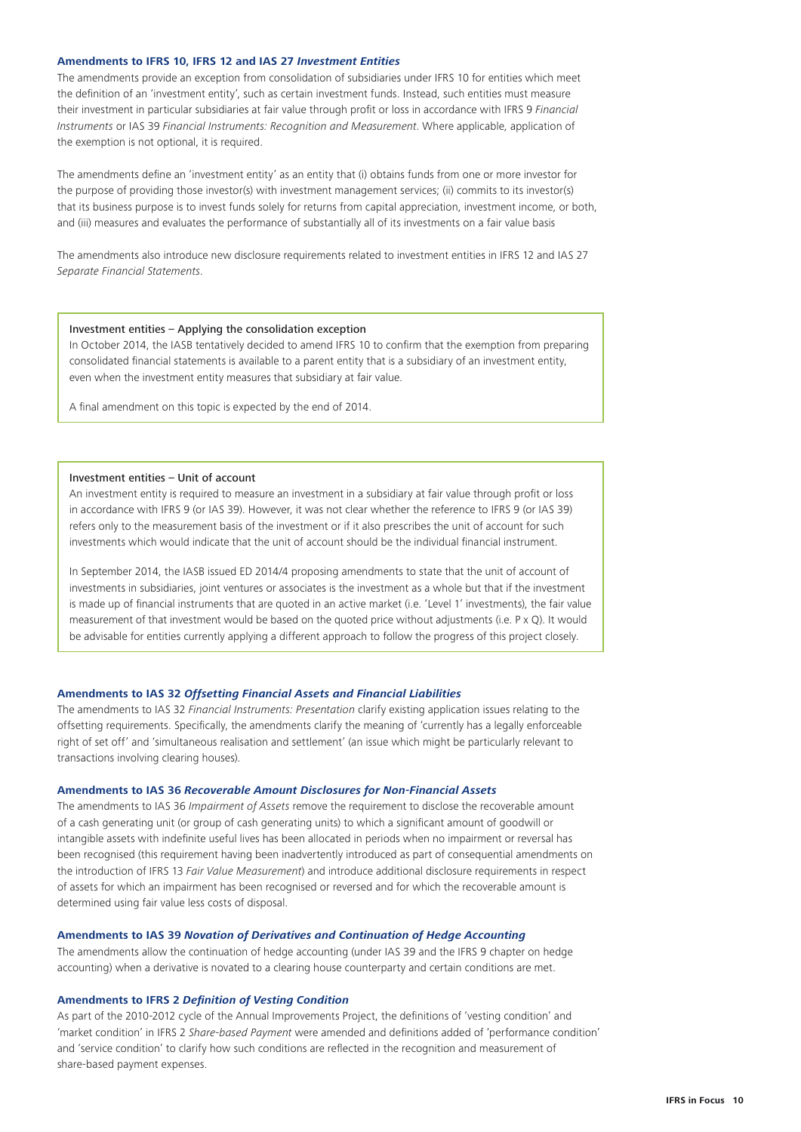#### <span id="page-9-0"></span>**Amendments to IFRS 10, IFRS 12 and IAS 27** *Investment Entities*

The amendments provide an exception from consolidation of subsidiaries under IFRS 10 for entities which meet the definition of an 'investment entity', such as certain investment funds. Instead, such entities must measure their investment in particular subsidiaries at fair value through profit or loss in accordance with IFRS 9 *Financial Instruments* or IAS 39 *Financial Instruments: Recognition and Measurement*. Where applicable, application of the exemption is not optional, it is required.

The amendments define an 'investment entity' as an entity that (i) obtains funds from one or more investor for the purpose of providing those investor(s) with investment management services; (ii) commits to its investor(s) that its business purpose is to invest funds solely for returns from capital appreciation, investment income, or both, and (iii) measures and evaluates the performance of substantially all of its investments on a fair value basis

The amendments also introduce new disclosure requirements related to investment entities in IFRS 12 and IAS 27 *Separate Financial Statements*.

#### Investment entities – Applying the consolidation exception

In October 2014, the IASB tentatively decided to amend IFRS 10 to confirm that the exemption from preparing consolidated financial statements is available to a parent entity that is a subsidiary of an investment entity, even when the investment entity measures that subsidiary at fair value.

A final amendment on this topic is expected by the end of 2014.

#### Investment entities – Unit of account

An investment entity is required to measure an investment in a subsidiary at fair value through profit or loss in accordance with IFRS 9 (or IAS 39). However, it was not clear whether the reference to IFRS 9 (or IAS 39) refers only to the measurement basis of the investment or if it also prescribes the unit of account for such investments which would indicate that the unit of account should be the individual financial instrument.

In September 2014, the IASB issued ED 2014/4 proposing amendments to state that the unit of account of investments in subsidiaries, joint ventures or associates is the investment as a whole but that if the investment is made up of financial instruments that are quoted in an active market (i.e. 'Level 1' investments), the fair value measurement of that investment would be based on the quoted price without adjustments (i.e. P x Q). It would be advisable for entities currently applying a different approach to follow the progress of this project closely.

#### **Amendments to IAS 32** *Offsetting Financial Assets and Financial Liabilities*

The amendments to IAS 32 *Financial Instruments: Presentation* clarify existing application issues relating to the offsetting requirements. Specifically, the amendments clarify the meaning of 'currently has a legally enforceable right of set off' and 'simultaneous realisation and settlement' (an issue which might be particularly relevant to transactions involving clearing houses).

#### **Amendments to IAS 36** *Recoverable Amount Disclosures for Non-Financial Assets*

The amendments to IAS 36 *Impairment of Assets* remove the requirement to disclose the recoverable amount of a cash generating unit (or group of cash generating units) to which a significant amount of goodwill or intangible assets with indefinite useful lives has been allocated in periods when no impairment or reversal has been recognised (this requirement having been inadvertently introduced as part of consequential amendments on the introduction of IFRS 13 *Fair Value Measurement*) and introduce additional disclosure requirements in respect of assets for which an impairment has been recognised or reversed and for which the recoverable amount is determined using fair value less costs of disposal.

#### **Amendments to IAS 39** *Novation of Derivatives and Continuation of Hedge Accounting*

The amendments allow the continuation of hedge accounting (under IAS 39 and the IFRS 9 chapter on hedge accounting) when a derivative is novated to a clearing house counterparty and certain conditions are met.

#### **Amendments to IFRS 2** *Definition of Vesting Condition*

As part of the 2010-2012 cycle of the Annual Improvements Project, the definitions of 'vesting condition' and 'market condition' in IFRS 2 *Share-based Payment* were amended and definitions added of 'performance condition' and 'service condition' to clarify how such conditions are reflected in the recognition and measurement of share-based payment expenses.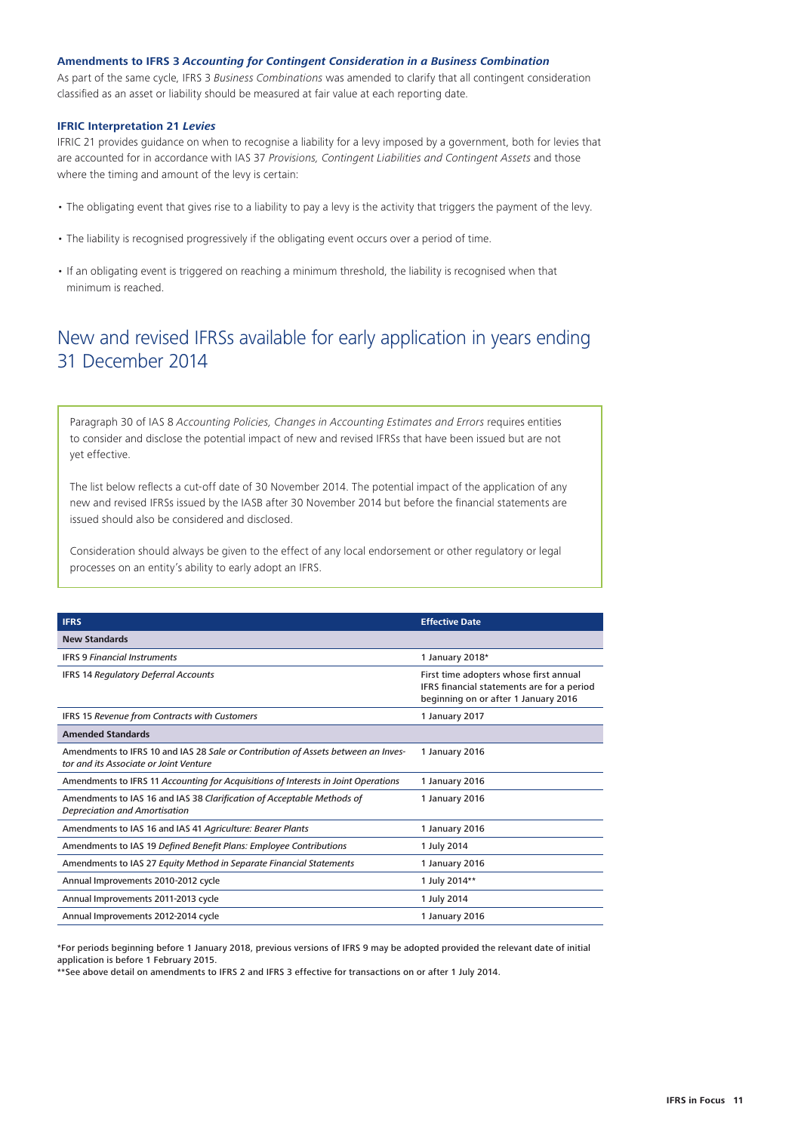#### <span id="page-10-0"></span>**Amendments to IFRS 3** *Accounting for Contingent Consideration in a Business Combination*

As part of the same cycle, IFRS 3 *Business Combinations* was amended to clarify that all contingent consideration classified as an asset or liability should be measured at fair value at each reporting date.

#### **IFRIC Interpretation 21** *Levies*

IFRIC 21 provides guidance on when to recognise a liability for a levy imposed by a government, both for levies that are accounted for in accordance with IAS 37 *Provisions, Contingent Liabilities and Contingent Assets* and those where the timing and amount of the levy is certain:

- The obligating event that gives rise to a liability to pay a levy is the activity that triggers the payment of the levy.
- The liability is recognised progressively if the obligating event occurs over a period of time.
- If an obligating event is triggered on reaching a minimum threshold, the liability is recognised when that minimum is reached.

## New and revised IFRSs available for early application in years ending 31 December 2014

Paragraph 30 of IAS 8 *Accounting Policies, Changes in Accounting Estimates and Errors* requires entities to consider and disclose the potential impact of new and revised IFRSs that have been issued but are not yet effective.

The list below reflects a cut-off date of 30 November 2014. The potential impact of the application of any new and revised IFRSs issued by the IASB after 30 November 2014 but before the financial statements are issued should also be considered and disclosed.

Consideration should always be given to the effect of any local endorsement or other regulatory or legal processes on an entity's ability to early adopt an IFRS.

| <b>IFRS</b>                                                                                                                 | <b>Effective Date</b>                                                                                                        |
|-----------------------------------------------------------------------------------------------------------------------------|------------------------------------------------------------------------------------------------------------------------------|
| <b>New Standards</b>                                                                                                        |                                                                                                                              |
| <b>IFRS 9 Financial Instruments</b>                                                                                         | 1 January 2018*                                                                                                              |
| <b>IFRS 14 Regulatory Deferral Accounts</b>                                                                                 | First time adopters whose first annual<br>IFRS financial statements are for a period<br>beginning on or after 1 January 2016 |
| IFRS 15 Revenue from Contracts with Customers                                                                               | 1 January 2017                                                                                                               |
| <b>Amended Standards</b>                                                                                                    |                                                                                                                              |
| Amendments to IFRS 10 and IAS 28 Sale or Contribution of Assets between an Inves-<br>tor and its Associate or Joint Venture | 1 January 2016                                                                                                               |
| Amendments to IFRS 11 Accounting for Acquisitions of Interests in Joint Operations                                          | 1 January 2016                                                                                                               |
| Amendments to IAS 16 and IAS 38 Clarification of Acceptable Methods of<br><b>Depreciation and Amortisation</b>              | 1 January 2016                                                                                                               |
| Amendments to IAS 16 and IAS 41 Agriculture: Bearer Plants                                                                  | 1 January 2016                                                                                                               |
| Amendments to IAS 19 Defined Benefit Plans: Employee Contributions                                                          | 1 July 2014                                                                                                                  |
| Amendments to IAS 27 Equity Method in Separate Financial Statements                                                         | 1 January 2016                                                                                                               |
| Annual Improvements 2010-2012 cycle                                                                                         | 1 July 2014**                                                                                                                |
| Annual Improvements 2011-2013 cycle                                                                                         | 1 July 2014                                                                                                                  |
| Annual Improvements 2012-2014 cycle                                                                                         | 1 January 2016                                                                                                               |

\*For periods beginning before 1 January 2018, previous versions of IFRS 9 may be adopted provided the relevant date of initial application is before 1 February 2015.

\*\*See above detail on amendments to IFRS 2 and IFRS 3 effective for transactions on or after 1 July 2014.